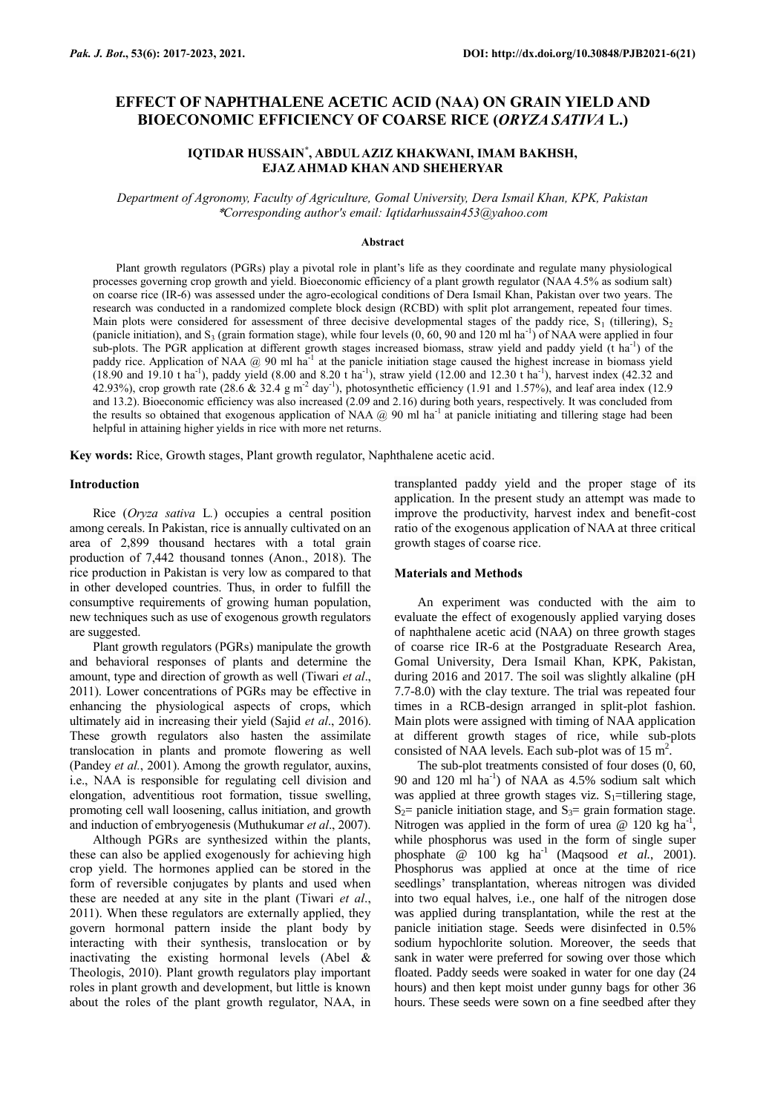# **EFFECT OF NAPHTHALENE ACETIC ACID (NAA) ON GRAIN YIELD AND BIOECONOMIC EFFICIENCY OF COARSE RICE (***ORYZA SATIVA* **L.)**

## **IQTIDAR HUSSAIN\* , ABDUL AZIZ KHAKWANI, IMAM BAKHSH, EJAZ AHMAD KHAN AND SHEHERYAR**

*Department of Agronomy, Faculty of Agriculture, Gomal University, Dera Ismail Khan, KPK, Pakistan* \**Corresponding author's email: Iqtidarhussain453@yahoo.com*

#### **Abstract**

Plant growth regulators (PGRs) play a pivotal role in plant's life as they coordinate and regulate many physiological processes governing crop growth and yield. Bioeconomic efficiency of a plant growth regulator (NAA 4.5% as sodium salt) on coarse rice (IR-6) was assessed under the agro-ecological conditions of Dera Ismail Khan, Pakistan over two years. The research was conducted in a randomized complete block design (RCBD) with split plot arrangement, repeated four times. Main plots were considered for assessment of three decisive developmental stages of the paddy rice,  $S_1$  (tillering),  $S_2$ (panicle initiation), and S<sub>3</sub> (grain formation stage), while four levels  $(0, 60, 90$  and 120 ml ha<sup>-1</sup>) of NAA were applied in four sub-plots. The PGR application at different growth stages increased biomass, straw yield and paddy yield  $(t \text{ ha}^{-1})$  of the paddy rice. Application of NAA  $\omega$  90 ml ha<sup>-1</sup> at the panicle initiation stage caused the highest increase in biomass yield  $(18.90 \text{ and } 19.10 \text{ t ha}^{-1})$ , paddy yield  $(8.00 \text{ and } 8.20 \text{ t ha}^{-1})$ , straw yield  $(12.00 \text{ and } 12.30 \text{ t ha}^{-1})$ , harvest index  $(42.32 \text{ and } 12.30 \text{ t ha}^{-1})$ 42.93%), crop growth rate (28.6 & 32.4 g m<sup>-2</sup> day<sup>-1</sup>), photosynthetic efficiency (1.91 and 1.57%), and leaf area index (12.9) and 13.2). Bioeconomic efficiency was also increased (2.09 and 2.16) during both years, respectively. It was concluded from the results so obtained that exogenous application of NAA  $@$  90 ml ha<sup>-1</sup> at panicle initiating and tillering stage had been helpful in attaining higher yields in rice with more net returns.

**Key words:** Rice, Growth stages, Plant growth regulator, Naphthalene acetic acid.

#### **Introduction**

Rice (*Oryza sativa* L*.*) occupies a central position among cereals. In Pakistan, rice is annually cultivated on an area of 2,899 thousand hectares with a total grain production of 7,442 thousand tonnes (Anon., 2018). The rice production in Pakistan is very low as compared to that in other developed countries. Thus, in order to fulfill the consumptive requirements of growing human population, new techniques such as use of exogenous growth regulators are suggested.

Plant growth regulators (PGRs) manipulate the growth and behavioral responses of plants and determine the amount, type and direction of growth as well (Tiwari *et al*., 2011). Lower concentrations of PGRs may be effective in enhancing the physiological aspects of crops, which ultimately aid in increasing their yield (Sajid *et al*., 2016). These growth regulators also hasten the assimilate translocation in plants and promote flowering as well (Pandey *et al.*, 2001). Among the growth regulator, auxins, i.e., NAA is responsible for regulating cell division and elongation, adventitious root formation, tissue swelling, promoting cell wall loosening, callus initiation, and growth and induction of embryogenesis (Muthukumar *et al*., 2007).

Although PGRs are synthesized within the plants, these can also be applied exogenously for achieving high crop yield. The hormones applied can be stored in the form of reversible conjugates by plants and used when these are needed at any site in the plant (Tiwari *et al*., 2011). When these regulators are externally applied, they govern hormonal pattern inside the plant body by interacting with their synthesis, translocation or by inactivating the existing hormonal levels (Abel & Theologis, 2010). Plant growth regulators play important roles in plant growth and development, but little is known about the roles of the plant growth regulator, NAA, in

transplanted paddy yield and the proper stage of its application. In the present study an attempt was made to improve the productivity, harvest index and benefit-cost ratio of the exogenous application of NAA at three critical growth stages of coarse rice.

#### **Materials and Methods**

An experiment was conducted with the aim to evaluate the effect of exogenously applied varying doses of naphthalene acetic acid (NAA) on three growth stages of coarse rice IR-6 at the Postgraduate Research Area, Gomal University, Dera Ismail Khan, KPK, Pakistan, during 2016 and 2017. The soil was slightly alkaline (pH 7.7-8.0) with the clay texture. The trial was repeated four times in a RCB-design arranged in split-plot fashion. Main plots were assigned with timing of NAA application at different growth stages of rice, while sub-plots consisted of NAA levels. Each sub-plot was of 15  $m^2$ .

The sub-plot treatments consisted of four doses (0, 60, 90 and 120 ml  $\text{ha}^{-1}$ ) of NAA as 4.5% sodium salt which was applied at three growth stages viz.  $S_1$ =tillering stage,  $S_2$ = panicle initiation stage, and  $S_3$ = grain formation stage. Nitrogen was applied in the form of urea  $\omega$  120 kg ha<sup>-1</sup>, while phosphorus was used in the form of single super phosphate @ 100 kg ha<sup>-1</sup> (Maqsood *et al.*, 2001). Phosphorus was applied at once at the time of rice seedlings' transplantation, whereas nitrogen was divided into two equal halves, i.e., one half of the nitrogen dose was applied during transplantation, while the rest at the panicle initiation stage. Seeds were disinfected in 0.5% sodium hypochlorite solution. Moreover, the seeds that sank in water were preferred for sowing over those which floated. Paddy seeds were soaked in water for one day (24 hours) and then kept moist under gunny bags for other 36 hours. These seeds were sown on a fine seedbed after they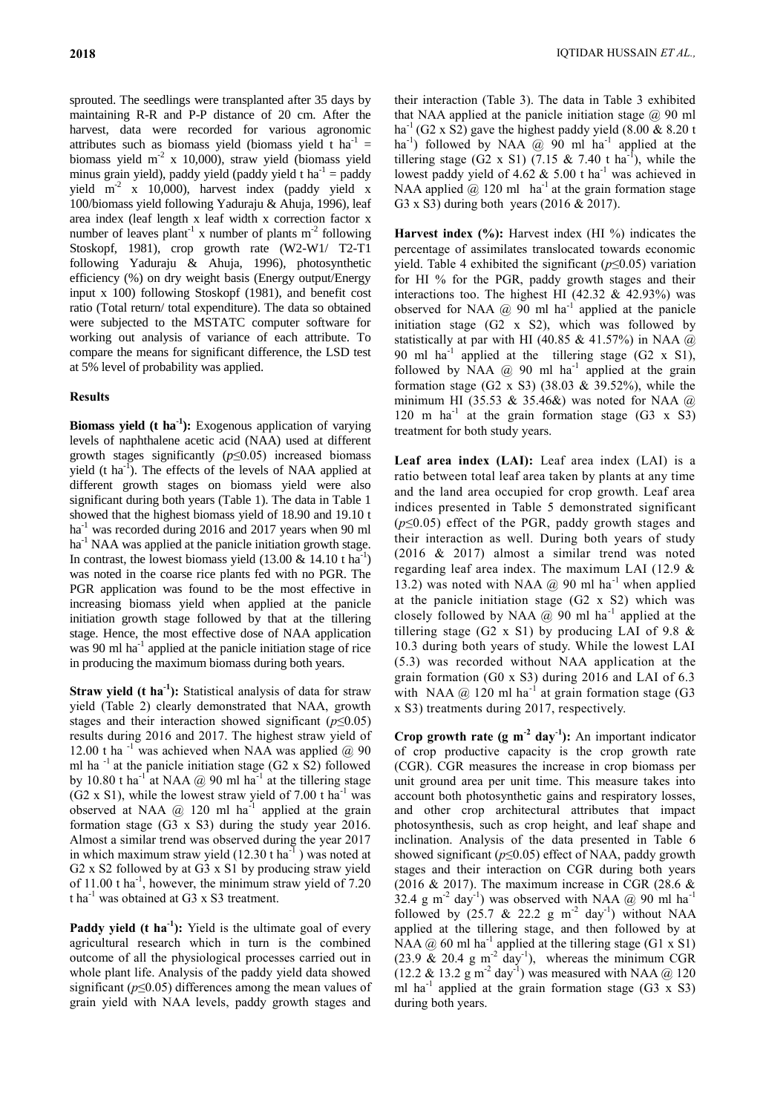sprouted. The seedlings were transplanted after 35 days by maintaining R-R and P-P distance of 20 cm. After the harvest, data were recorded for various agronomic attributes such as biomass yield (biomass yield t ha<sup>-1</sup> = biomass yield  $m<sup>2</sup>$  x 10,000), straw yield (biomass yield minus grain yield), paddy yield (paddy yield t ha<sup>-1</sup> = paddy yield  $m^2$  x 10,000), harvest index (paddy yield x 100/biomass yield following Yaduraju & Ahuja, 1996), leaf area index (leaf length x leaf width x correction factor x number of leaves plant<sup>-1</sup> x number of plants  $m<sup>-2</sup>$  following Stoskopf, 1981), crop growth rate (W2-W1/ T2-T1 following Yaduraju & Ahuja, 1996), photosynthetic efficiency (%) on dry weight basis (Energy output/Energy input x 100) following Stoskopf (1981), and benefit cost ratio (Total return/ total expenditure). The data so obtained were subjected to the MSTATC computer software for working out analysis of variance of each attribute. To compare the means for significant difference, the LSD test at 5% level of probability was applied.

## **Results**

**Biomass yield (t ha<sup>1</sup>):** Exogenous application of varying levels of naphthalene acetic acid (NAA) used at different growth stages significantly (*p*≤0.05) increased biomass yield (t ha<sup>-1</sup>). The effects of the levels of NAA applied at different growth stages on biomass yield were also significant during both years (Table 1). The data in Table 1 showed that the highest biomass yield of 18.90 and 19.10 t ha<sup>-1</sup> was recorded during 2016 and 2017 years when 90 ml ha<sup>-1</sup> NAA was applied at the panicle initiation growth stage. In contrast, the lowest biomass yield  $(13.00 \& 14.10 \t{ h a<sup>-1</sup>})$ was noted in the coarse rice plants fed with no PGR. The PGR application was found to be the most effective in increasing biomass yield when applied at the panicle initiation growth stage followed by that at the tillering stage. Hence, the most effective dose of NAA application was 90 ml ha<sup>-1</sup> applied at the panicle initiation stage of rice in producing the maximum biomass during both years.

**Straw yield (t ha<sup>-1</sup>):** Statistical analysis of data for straw yield (Table 2) clearly demonstrated that NAA, growth stages and their interaction showed significant (*p*≤0.05) results during 2016 and 2017. The highest straw yield of 12.00 t ha<sup>-1</sup> was achieved when NAA was applied  $@$  90 ml ha  $^{-1}$  at the panicle initiation stage (G2 x S2) followed by 10.80 t ha<sup>-1</sup> at NAA @ 90 ml ha<sup>-1</sup> at the tillering stage  $(G2 \times S1)$ , while the lowest straw yield of 7.00 t ha<sup>-1</sup> was observed at NAA  $@$  120 ml ha<sup>-1</sup> applied at the grain formation stage (G3 x S3) during the study year 2016. Almost a similar trend was observed during the year 2017 in which maximum straw yield  $(12.30 \text{ t ha}^{-1})$  was noted at G2 x S2 followed by at G3 x S1 by producing straw yield of 11.00 t ha<sup>-1</sup>, however, the minimum straw yield of 7.20 t ha<sup>-1</sup> was obtained at G3 x S3 treatment.

**Paddy yield (t ha<sup>-1</sup>):** Yield is the ultimate goal of every agricultural research which in turn is the combined outcome of all the physiological processes carried out in whole plant life. Analysis of the paddy yield data showed significant (*p*≤0.05) differences among the mean values of grain yield with NAA levels, paddy growth stages and

their interaction (Table 3). The data in Table 3 exhibited that NAA applied at the panicle initiation stage  $\omega$  90 ml ha<sup>-1</sup> (G2 x S2) gave the highest paddy yield (8.00 & 8.20 t ha<sup>-1</sup>) followed by NAA  $\omega$  90 ml ha<sup>-1</sup> applied at the tillering stage (G2 x S1) (7.15 & 7.40 t ha<sup>-1</sup>), while the lowest paddy yield of 4.62  $& 5.00$  t ha<sup>-1</sup> was achieved in NAA applied  $\omega$  120 ml ha<sup>-1</sup> at the grain formation stage G3 x S3) during both years (2016 & 2017).

**Harvest index (%):** Harvest index (HI %) indicates the percentage of assimilates translocated towards economic yield. Table 4 exhibited the significant (*p*≤0.05) variation for HI % for the PGR, paddy growth stages and their interactions too. The highest HI (42.32  $&$  42.93%) was observed for NAA  $\omega$  90 ml ha<sup>-1</sup> applied at the panicle initiation stage (G2 x S2), which was followed by statistically at par with HI (40.85 & 41.57%) in NAA @ 90 ml ha<sup>-1</sup> applied at the tillering stage  $(G2 \times S1)$ , followed by NAA  $@$  90 ml ha<sup>-1</sup> applied at the grain formation stage (G2 x S3) (38.03 & 39.52%), while the minimum HI (35.53 & 35.46&) was noted for NAA  $\omega$ 120 m ha<sup>-1</sup> at the grain formation stage  $(G3 \times S3)$ treatment for both study years.

**Leaf area index (LAI):** Leaf area index (LAI) is a ratio between total leaf area taken by plants at any time and the land area occupied for crop growth. Leaf area indices presented in Table 5 demonstrated significant (*p*≤0.05) effect of the PGR, paddy growth stages and their interaction as well. During both years of study (2016 & 2017) almost a similar trend was noted regarding leaf area index. The maximum LAI (12.9 & 13.2) was noted with NAA  $@$  90 ml ha<sup>-1</sup> when applied at the panicle initiation stage (G2 x S2) which was closely followed by NAA  $\omega$  90 ml ha<sup>-1</sup> applied at the tillering stage (G2 x S1) by producing LAI of 9.8  $\&$ 10.3 during both years of study. While the lowest LAI (5.3) was recorded without NAA application at the grain formation (G0 x S3) during 2016 and LAI of 6.3 with NAA  $@120$  ml ha<sup>-1</sup> at grain formation stage (G3 x S3) treatments during 2017, respectively.

**Crop growth rate (g m<sup>-2</sup> day<sup>-1</sup>):** An important indicator of crop productive capacity is the crop growth rate (CGR). CGR measures the increase in crop biomass per unit ground area per unit time. This measure takes into account both photosynthetic gains and respiratory losses, and other crop architectural attributes that impact photosynthesis, such as crop height, and leaf shape and inclination. Analysis of the data presented in Table 6 showed significant (*p*≤0.05) effect of NAA, paddy growth stages and their interaction on CGR during both years (2016  $&$  2017). The maximum increase in CGR (28.6  $&$ 32.4 g m<sup>-2</sup> day<sup>-1</sup>) was observed with NAA  $\omega$  90 ml ha<sup>-1</sup> followed by  $(25.7 \& 22.2 \text{ g m}^{-2} \text{ day}^{-1})$  without NAA applied at the tillering stage, and then followed by at NAA  $\omega$  60 ml ha<sup>-1</sup> applied at the tillering stage (G1 x S1)  $(23.9 \& 20.4 \text{ g m}^{-2} \text{ day}^{-1})$ , whereas the minimum CGR  $(12.2 \& 13.2 \text{ g m}^{-2} \text{ day}^{-1})$  was measured with NAA @ 120 ml ha<sup>-1</sup> applied at the grain formation stage  $(G3 \times S3)$ during both years.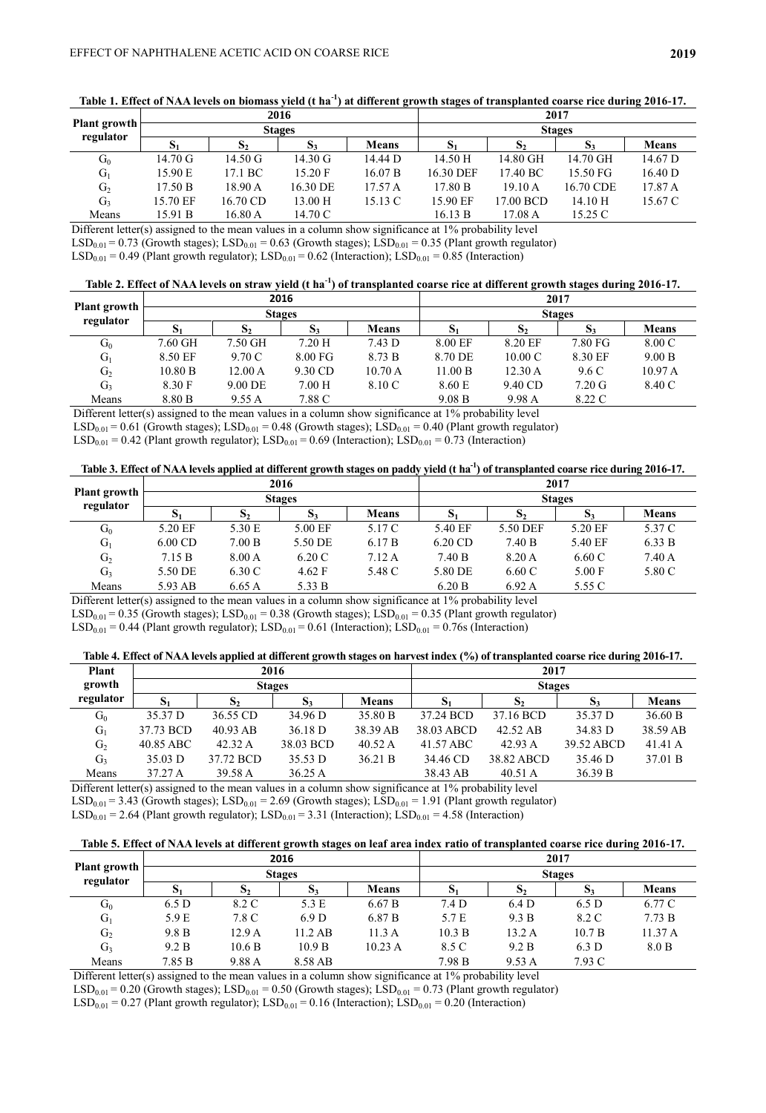|                           |                   |                   | 2016              |                   |           |              | 2017          |              |
|---------------------------|-------------------|-------------------|-------------------|-------------------|-----------|--------------|---------------|--------------|
| Plant growth<br>regulator |                   |                   | <b>Stages</b>     |                   |           |              | <b>Stages</b> |              |
|                           | Юı                | S,                | $D_3$             | <b>Means</b>      | Э1        | $\mathbf{D}$ | $S_3$         | <b>Means</b> |
| $\mathrm{G}_0$            | $14.70 \text{ G}$ | $14.50 \text{ G}$ | $14.30 \text{ G}$ | 14.44 D           | 14.50 H   | 14.80 GH     | 14.70 GH      | 14.67 D      |
| $G_1$                     | 15.90 E           | 17.1 BC           | 15.20 F           | 16.07 B           | 16.30 DEF | 17.40 BC     | 15.50 FG      | 16.40 D      |
| G <sub>2</sub>            | 17.50 B           | 18.90 A           | 16.30 DE          | 17.57A            | 17.80 B   | 19.10A       | 16.70 CDE     | 17.87 A      |
| G <sub>3</sub>            | 15.70 EF          | 16.70 CD          | 13.00 H           | $15.13 \text{ C}$ | 15.90 EF  | 17.00 BCD    | 14.10H        | 15.67 C      |
| Means                     | 15.91 B           | 16.80 A           | 14.70 C           |                   | 16.13 B   | 17.08 A      | 15.25 C       |              |

**Table 1. Effect of NAA levels on biomass yield (t ha-1 ) at different growth stages of transplanted coarse rice during 2016-17.**

Different letter(s) assigned to the mean values in a column show significance at 1% probability level

 $LSD_{0.01} = 0.73$  (Growth stages);  $LSD_{0.01} = 0.63$  (Growth stages);  $LSD_{0.01} = 0.35$  (Plant growth regulator)

 $LSD_{0.01} = 0.49$  (Plant growth regulator);  $LSD_{0.01} = 0.62$  (Interaction);  $LSD_{0.01} = 0.85$  (Interaction)

| Table 2. Effect of NAA levels on straw yield (t ha <sup>-1</sup> ) of transplanted coarse rice at different growth stages during 2016-17. |  |  |
|-------------------------------------------------------------------------------------------------------------------------------------------|--|--|
|                                                                                                                                           |  |  |

|                                  |         |                  | 2016              |                    |         |                   | 2017             |              |
|----------------------------------|---------|------------------|-------------------|--------------------|---------|-------------------|------------------|--------------|
| <b>Plant growth</b><br>regulator |         |                  | <b>Stages</b>     |                    |         |                   | <b>Stages</b>    |              |
|                                  | D.      | D.               |                   | <b>Means</b>       | v       | د ف               | Ю.               | <b>Means</b> |
| $G_0$                            | 7.60 GH | 7.50 GH          | 7.20H             | $7.43\,\mathrm{D}$ | 8.00 EF | 8.20 EF           | 7.80 FG          | 8.00 C       |
| $G_1$                            | 8.50 EF | 9.70 C           | $8.00 \text{ FG}$ | 8.73 B             | 8.70 DE | $10.00 \text{ C}$ | 8.30 EF          | 9.00 B       |
| G <sub>2</sub>                   | 10.80 B | $12.00\text{ A}$ | 9.30 CD           | 10.70 A            | 11.00 B | 12.30 A           | 9.6 C            | 10.97 A      |
| $G_3$                            | 8.30 F  | $9.00$ DE        | 7.00 H            | 8.10 C             | 8.60 E  | 9.40 CD           | $7.20 \text{ G}$ | 8.40 C       |
| Means                            | 8.80 B  | 9.55 A           | 7.88 C            |                    | 9.08 B  | 9.98 A            | 8.22 C           |              |

Different letter(s) assigned to the mean values in a column show significance at 1% probability level

 $LSD_{0.01} = 0.61$  (Growth stages);  $LSD_{0.01} = 0.48$  (Growth stages);  $LSD_{0.01} = 0.40$  (Plant growth regulator)

 $LSD_{0.01} = 0.42$  (Plant growth regulator);  $LSD_{0.01} = 0.69$  (Interaction);  $LSD_{0.01} = 0.73$  (Interaction)

|                                  |           |                    | 2016          |              |           |              | 2017           |                 |
|----------------------------------|-----------|--------------------|---------------|--------------|-----------|--------------|----------------|-----------------|
| <b>Plant growth</b><br>regulator |           |                    | <b>Stages</b> |              |           |              | <b>Stages</b>  |                 |
|                                  | $S_1$     | 10                 | $\mathbf{D}$  | <b>Means</b> | O.        | $\mathbf{D}$ | $\mathbf{p}_3$ | <b>Means</b>    |
| $G_0$                            | 5.20 EF   | 5.30 E             | 5.00 EF       | 5.17 C       | 5.40 EF   | 5.50 DEF     | 5.20 EF        | 5.37 C          |
| $G_1$                            | $6.00$ CD | 7.00 B             | 5.50 DE       | 6.17 B       | $6.20$ CD | 7.40 B       | 5.40 EF        | 6.33 B          |
| G <sub>2</sub>                   | 7.15 B    | $8.00\,\mathrm{A}$ | 6.20C         | 7.12A        | 7.40 B    | 8.20 A       | 6.60C          | $7.40\text{ A}$ |
| $G_3$                            | 5.50 DE   | 6.30 C             | 4.62 F        | 5.48 C       | 5.80 DE   | 6.60 C       | 5.00 F         | 5.80 C          |
| Means                            | 5.93 AB   | 6.65A              | 5.33 B        |              | 6.20 B    | 6.92A        | 5.55 C         |                 |

Different letter(s) assigned to the mean values in a column show significance at 1% probability level

 $LSD_{0.01} = 0.35$  (Growth stages);  $LSD_{0.01} = 0.38$  (Growth stages);  $LSD_{0.01} = 0.35$  (Plant growth regulator)

 $LSD_{0.01} = 0.44$  (Plant growth regulator);  $LSD_{0.01} = 0.61$  (Interaction);  $LSD_{0.01} = 0.76$  (Interaction)

| Table 4. Effect of NAA levels applied at different growth stages on harvest index (%) of transplanted coarse rice during 2016-17. |  |  |
|-----------------------------------------------------------------------------------------------------------------------------------|--|--|
|                                                                                                                                   |  |  |

| Plant          |           |            | 2016          |              |            | 2017          |            |              |
|----------------|-----------|------------|---------------|--------------|------------|---------------|------------|--------------|
| growth         |           |            | <b>Stages</b> |              |            | <b>Stages</b> |            |              |
| regulator      | D.        | đ٥         | D.            | <b>Means</b> | D          | o۰            | D.         | <b>Means</b> |
| $G_0$          | 35.37 D   | 36.55 CD   | 34.96 D       | 35.80 B      | 37.24 BCD  | 37.16 BCD     | 35.37 D    | 36.60 B      |
| $G_1$          | 37.73 BCD | $40.93$ AB | 36.18 D       | 38.39 AB     | 38.03 ABCD | 42.52 AB      | 34.83 D    | 38.59 AB     |
| G <sub>2</sub> | 40.85 ABC | 42.32 A    | 38.03 BCD     | 40.52 A      | 41.57 ABC  | 42.93A        | 39.52 ABCD | 41.41 A      |
| G <sub>3</sub> | 35.03 D   | 37.72 BCD  | 35.53 D       | 36.21 B      | 34.46 CD   | 38.82 ABCD    | 35.46 D    | 37.01 B      |
| Means          | 37.27 A   | 39.58 A    | 36.25A        |              | 38.43 AB   | 40.51A        | 36.39 B    |              |

Different letter(s) assigned to the mean values in a column show significance at 1% probability level  $LSD_{0.01} = 3.43$  (Growth stages);  $LSD_{0.01} = 2.69$  (Growth stages);  $LSD_{0.01} = 1.91$  (Plant growth regulator)  $LSD_{0.01} = 2.64$  (Plant growth regulator);  $LSD_{0.01} = 3.31$  (Interaction);  $LSD_{0.01} = 4.58$  (Interaction)

**Table 5. Effect of NAA levels at different growth stages on leaf area index ratio of transplanted coarse rice during 2016-17.**

|                                  |        |                | 2016             |              |               |                  | 2017          |              |
|----------------------------------|--------|----------------|------------------|--------------|---------------|------------------|---------------|--------------|
| <b>Plant growth</b><br>regulator |        |                | <b>Stages</b>    |              |               |                  | <b>Stages</b> |              |
|                                  | $S_1$  | D <sub>2</sub> | $\mathbf{D}$ 3   | <b>Means</b> | $\mathbf{5}1$ | D <sub>2</sub>   | $S_3$         | <b>Means</b> |
| $G_0$                            | 6.5 D  | 8.2 C          | 5.3 E            | 6.67 B       | 7.4 D         | 6.4 <sub>D</sub> | 6.5 D         | 6.77 C       |
| $G_1$                            | 5.9 E  | 7.8 C          | 6.9 <sub>D</sub> | 6.87 B       | 5.7 E         | 9.3 B            | 8.2 C         | 7.73 B       |
| G <sub>2</sub>                   | 9.8 B  | 12.9 A         | $11.2$ AB        | 11.3A        | 10.3 B        | 13.2A            | 10.7 B        | 11.37A       |
| G <sub>3</sub>                   | 9.2 B  | 10.6 B         | 10.9 B           | 10.23 A      | 8.5 C         | 9.2 B            | 6.3 D         | 8.0 B        |
| Means                            | 7.85 B | 9.88 A         | 8.58 AB          |              | 7.98 B        | 9.53 A           | 7.93 C        |              |

Different letter(s) assigned to the mean values in a column show significance at 1% probability level  $LSD_{0.01} = 0.20$  (Growth stages);  $LSD_{0.01} = 0.50$  (Growth stages);  $LSD_{0.01} = 0.73$  (Plant growth regulator)  $LSD_{0.01} = 0.27$  (Plant growth regulator);  $LSD_{0.01} = 0.16$  (Interaction);  $LSD_{0.01} = 0.20$  (Interaction)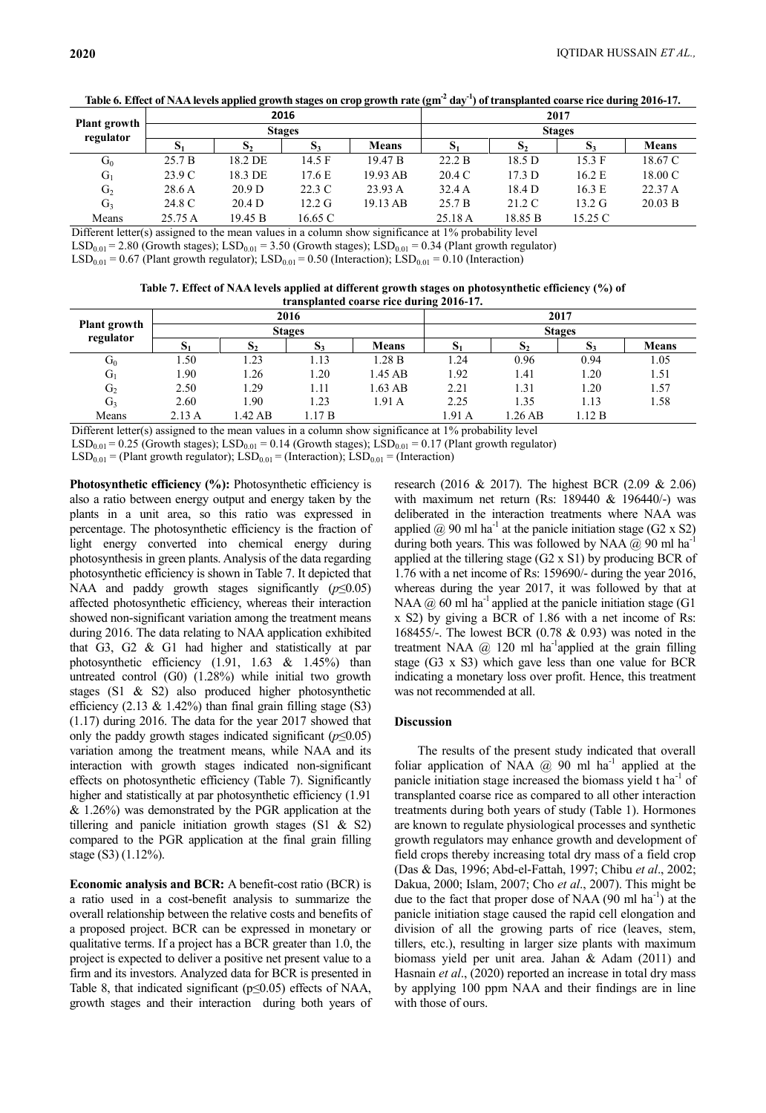|                                  |         |                    | 2016             |              |        |              | 2017             |              |
|----------------------------------|---------|--------------------|------------------|--------------|--------|--------------|------------------|--------------|
| <b>Plant growth</b><br>regulator |         |                    | <b>Stages</b>    |              |        |              | <b>Stages</b>    |              |
|                                  | D.      | دی                 | 53               | <b>Means</b> | 91     | $\mathbf{D}$ | $\mathbf{D}$     | <b>Means</b> |
| $G_0$                            | 25.7 B  | 18.2 DE            | 14.5 F           | 19.47 B      | 22.2 B | 18.5 D       | 15.3 F           | 18.67 C      |
| $G_1$                            | 23.9 C  | 18.3 DE            | 17.6 E           | 19.93 AB     | 20.4 C | 17.3 D       | 16.2 E           | 18.00 C      |
| G <sub>2</sub>                   | 28.6A   | 20.9 <sub>D</sub>  | 22.3 C           | 23.93 A      | 32.4A  | 18.4 D       | 16.3 E           | 22.37 A      |
| $G_3$                            | 24.8 C  | $20.4\,\mathrm{D}$ | $12.2 \text{ G}$ | 19.13 AB     | 25.7 B | 21.2 C       | $13.2 \text{ G}$ | 20.03 B      |
| Means                            | 25.75 A | 19.45 B            | 16.65 C          |              | 25.18A | 18.85 B      | 15.25 C          |              |

Table 6. Effect of NAA levels applied growth stages on crop growth rate (gm<sup>-2</sup> day<sup>-1</sup>) of transplanted coarse rice during 2016-17.

Different letter(s) assigned to the mean values in a column show significance at 1% probability level

 $LSD_{0.01} = 2.80$  (Growth stages);  $LSD_{0.01} = 3.50$  (Growth stages);  $LSD_{0.01} = 0.34$  (Plant growth regulator)

 $LSD_{0.01} = 0.67$  (Plant growth regulator);  $LSD_{0.01} = 0.50$  (Interaction);  $LSD_{0.01} = 0.10$  (Interaction)

**Table 7. Effect of NAA levels applied at different growth stages on photosynthetic efficiency (%) of transplanted coarse rice during 2016-17.**

|                     |        |              | 2016           |              |        |        | 2017           |              |
|---------------------|--------|--------------|----------------|--------------|--------|--------|----------------|--------------|
| <b>Plant</b> growth |        |              | <b>Stages</b>  |              |        |        | <b>Stages</b>  |              |
| regulator           | D.     | $\mathbf{D}$ | $\mathbf{D}$ 3 | <b>Means</b> |        | 10     | D <sub>3</sub> | <b>Means</b> |
| $G_0$               | 1.50   | 1.23         | 1.13           | .28B         | 1.24   | 0.96   | 0.94           | 1.05         |
| $G_1$               | 1.90   | 1.26         | 1.20           | 1.45 AB      | 1.92   | 1.41   | 1.20           | 1.51         |
| G <sub>2</sub>      | 2.50   | 1.29         | 1.11           | 1.63 AB      | 2.21   | 1.31   | 1.20           | 1.57         |
| $G_3$               | 2.60   | 1.90         | 1.23           | 1.91 A       | 2.25   | 1.35   | 1.13           | 1.58         |
| Means               | 2.13 A | 1.42 AB      | .17B           |              | 1.91 A | .26 AB | 1.12 B         |              |

Different letter(s) assigned to the mean values in a column show significance at 1% probability level

 $LSD_{0.01} = 0.25$  (Growth stages);  $LSD_{0.01} = 0.14$  (Growth stages);  $LSD_{0.01} = 0.17$  (Plant growth regulator)

 $LSD_{0.01} = (Plant growth regulator); LSD_{0.01} = (Interaction); LSD_{0.01} = (Interaction)$ 

**Photosynthetic efficiency (%):** Photosynthetic efficiency is also a ratio between energy output and energy taken by the plants in a unit area, so this ratio was expressed in percentage. The photosynthetic efficiency is the fraction of light energy converted into [chemical energy](https://en.wikipedia.org/wiki/Chemical_energy) during [photosynthesis](https://en.wikipedia.org/wiki/Photosynthesis) in green plants. Analysis of the data regarding photosynthetic efficiency is shown in Table 7. It depicted that NAA and paddy growth stages significantly (*p*≤0.05) affected photosynthetic efficiency, whereas their interaction showed non-significant variation among the treatment means during 2016. The data relating to NAA application exhibited that G3, G2 & G1 had higher and statistically at par photosynthetic efficiency (1.91, 1.63 & 1.45%) than untreated control (G0) (1.28%) while initial two growth stages (S1 & S2) also produced higher photosynthetic efficiency (2.13 & 1.42%) than final grain filling stage (S3) (1.17) during 2016. The data for the year 2017 showed that only the paddy growth stages indicated significant  $(p \leq 0.05)$ variation among the treatment means, while NAA and its interaction with growth stages indicated non-significant effects on photosynthetic efficiency (Table 7). Significantly higher and statistically at par photosynthetic efficiency (1.91 & 1.26%) was demonstrated by the PGR application at the tillering and panicle initiation growth stages (S1 & S2) compared to the PGR application at the final grain filling stage (S3) (1.12%).

**Economic analysis and BCR:** A benefit-cost ratio (BCR) is a ratio used in a [cost-benefit analysis](https://www.investopedia.com/terms/c/cost-benefitanalysis.asp) to summarize the overall relationship between the relative costs and benefits of a proposed project. BCR can be expressed in monetary or qualitative terms. If a project has a BCR greater than 1.0, the project is expected to deliver a positive net present value to a firm and its investors. Analyzed data for BCR is presented in Table 8, that indicated significant (p≤0.05) effects of NAA, growth stages and their interaction during both years of

research (2016 & 2017). The highest BCR (2.09 & 2.06) with maximum net return (Rs: 189440 & 196440/-) was deliberated in the interaction treatments where NAA was applied  $\omega$  90 ml ha<sup>-1</sup> at the panicle initiation stage (G2 x S2) during both years. This was followed by NAA @ 90 ml ha<sup>-1</sup> applied at the tillering stage (G2 x S1) by producing BCR of 1.76 with a net income of Rs: 159690/- during the year 2016, whereas during the year 2017, it was followed by that at NAA  $\omega$  60 ml ha<sup>-1</sup> applied at the panicle initiation stage (G1) x S2) by giving a BCR of 1.86 with a net income of Rs: 168455/-. The lowest BCR (0.78 & 0.93) was noted in the treatment NAA  $\omega$  120 ml ha<sup>-1</sup>applied at the grain filling stage (G3 x S3) which gave less than one value for BCR indicating a monetary loss over profit. Hence, this treatment was not recommended at all.

#### **Discussion**

The results of the present study indicated that overall foliar application of NAA  $@$  90 ml ha<sup>-1</sup> applied at the panicle initiation stage increased the biomass yield  $t$  ha<sup>-1</sup> of transplanted coarse rice as compared to all other interaction treatments during both years of study (Table 1). Hormones are known to regulate physiological processes and synthetic growth regulators may enhance growth and development of field crops thereby increasing total dry mass of a field crop (Das & Das, 1996; Abd-el-Fattah, 1997; Chibu *et al*., 2002; Dakua, 2000; Islam, 2007; Cho *et al*., 2007). This might be due to the fact that proper dose of NAA  $(90 \text{ ml ha}^{-1})$  at the panicle initiation stage caused the rapid cell elongation and division of all the growing parts of rice (leaves, stem, tillers, etc.), resulting in larger size plants with maximum biomass yield per unit area. Jahan & Adam (2011) and Hasnain *et al*., (2020) reported an increase in total dry mass by applying 100 ppm NAA and their findings are in line with those of ours.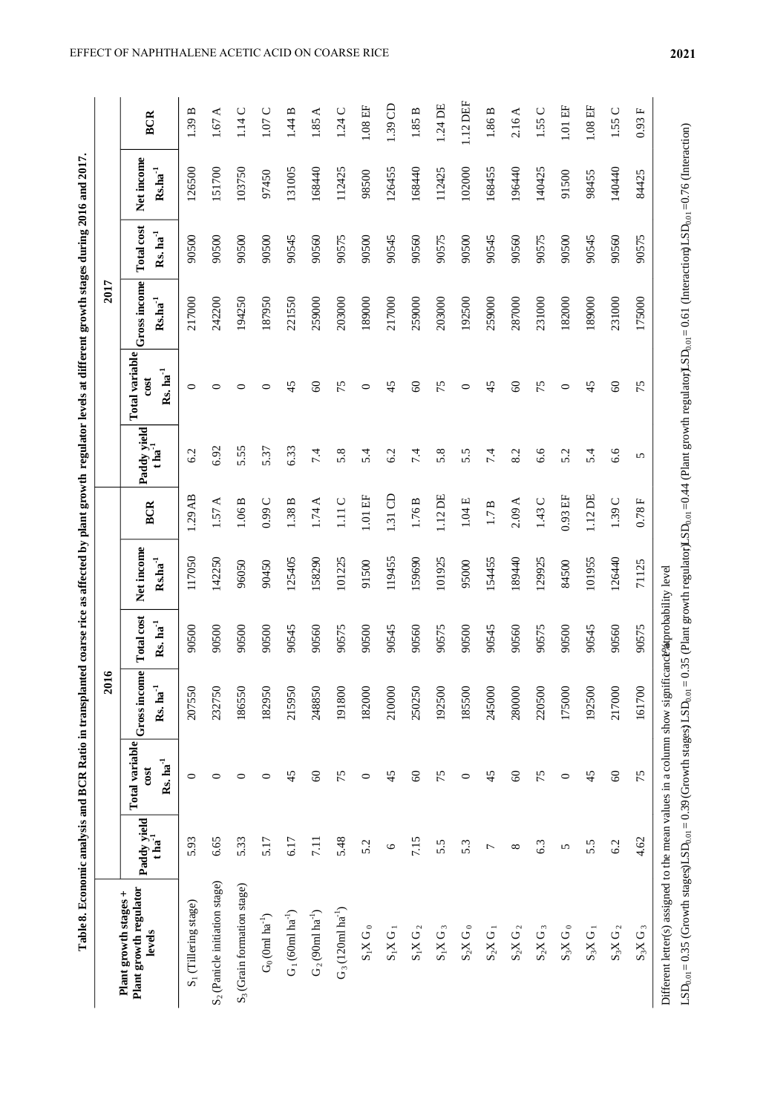|                 | Table 8. Economic analysis and BCR Ratio in tra | t coarse rice as affected by plant growth regulator levels at different growth stages during 2016 and 2017. |
|-----------------|-------------------------------------------------|-------------------------------------------------------------------------------------------------------------|
|                 |                                                 | 2017                                                                                                        |
| $with$ stages + | lotal variabl                                   | ntal variahl                                                                                                |

|                                                                                                                                                                                                                                                                                                                                                                              |                                      |                                           | 2016                                   |                                             |                                              |                    |                               |                                          | 2017                                           |                                             |                                |                       |
|------------------------------------------------------------------------------------------------------------------------------------------------------------------------------------------------------------------------------------------------------------------------------------------------------------------------------------------------------------------------------|--------------------------------------|-------------------------------------------|----------------------------------------|---------------------------------------------|----------------------------------------------|--------------------|-------------------------------|------------------------------------------|------------------------------------------------|---------------------------------------------|--------------------------------|-----------------------|
| Plant growth regulator<br>Plant growth stages +<br>levels                                                                                                                                                                                                                                                                                                                    | Paddy yield<br>$t \, \text{ha}^{-1}$ | Total variable<br>$Rs.$ $ha^{-1}$<br>cost | Gross income<br>$Rs.$ ha <sup>-1</sup> | <b>Total cost</b><br>$Rs.$ ha <sup>-1</sup> | Net income<br>$\mathrm{Rs.}\mathrm{ha}^{-1}$ | <b>BCR</b>         | Paddy yield<br>$t \ln a^{-1}$ | Total variable<br>$Rs. ha^{-1}$<br>cos t | Gross income<br>$\mathrm{Rs.}\mathrm{ha}^{-1}$ | <b>Total cost</b><br>$Rs.$ ha <sup>-1</sup> | Net income<br>$\bf Rs.ha^{-1}$ | <b>BCR</b>            |
| S <sub>1</sub> (Tillering stage)                                                                                                                                                                                                                                                                                                                                             | 5.93                                 | $\circ$                                   | 207550                                 | 90500                                       | 117050                                       | 1.29AB             | 6.2                           | $\circ$                                  | 217000                                         | 90500                                       | 126500                         | 1.39 B                |
| S <sub>2</sub> (Panicle initiation stage)                                                                                                                                                                                                                                                                                                                                    | 6.65                                 | $\circ$                                   | 232750                                 | 90500                                       | 142250                                       | 1.57A              | 6.92                          | $\circ$                                  | 242200                                         | 90500                                       | 151700                         | 1.67A                 |
| $S_3$ (Grain formation stage)                                                                                                                                                                                                                                                                                                                                                | 5.33                                 | 0                                         | 186550                                 | 90500                                       | 96050                                        | 1.06B              | 5.55                          | 0                                        | 194250                                         | 90500                                       | 103750                         | 1.14 C                |
| $G_0$ (0ml ha <sup>-1</sup> )                                                                                                                                                                                                                                                                                                                                                | 5.17                                 | ∊                                         | 182950                                 | 90500                                       | 90450                                        | 0.99C              | 5.37                          | $\circ$                                  | 187950                                         | 90500                                       | 97450                          | 1.07 C                |
| $G_1(60ml ha^{-1})$                                                                                                                                                                                                                                                                                                                                                          | 6.17                                 | 45                                        | 215950                                 | 90545                                       | 125405                                       | 1.38 B             | 6.33                          | 45                                       | 221550                                         | 90545                                       | 131005                         | 1.44B                 |
| $G_2(90ml \text{ ha}^{-1})$                                                                                                                                                                                                                                                                                                                                                  | 7.11                                 | $\infty$                                  | 248850                                 | 90560                                       | 158290                                       | 1.74A              | 7.4                           | $\infty$                                 | 259000                                         | 90560                                       | 168440                         | 1.85A                 |
| $G_3(120m1 \text{ ha}^{-1})$                                                                                                                                                                                                                                                                                                                                                 | 5.48                                 | 75                                        | 191800                                 | 90575                                       | 101225                                       | 1.11 C             | 5.8                           | 75                                       | 203000                                         | 90575                                       | 112425                         | 1.24C                 |
| $S_1X G_0$                                                                                                                                                                                                                                                                                                                                                                   | 5.2                                  | $\circ$                                   | 182000                                 | 90500                                       | 91500                                        | $1.01E$ FF         | 5.4                           | $\circ$                                  | 189000                                         | 90500                                       | 98500                          | 1.08 EF               |
| $S_1X G_1$                                                                                                                                                                                                                                                                                                                                                                   | $\circ$                              | 45                                        | 210000                                 | 90545                                       | 119455                                       | $1.31$ CD          | 6.2                           | 45                                       | 217000                                         | 90545                                       | 126455                         | 1.39 CD               |
| $\mathbf{S}_1\mathbf{X}$ $\mathbf{G}_2$                                                                                                                                                                                                                                                                                                                                      | 7.15                                 | $\pmb{\mathcal{S}}$                       | 250250                                 | 90560                                       | 159690                                       | 1.76 B             | 7.4                           | $\infty$                                 | 259000                                         | 90560                                       | 168440                         | 1.85B                 |
| $\mathbf{S}_1\mathbf{X}$ $\mathbf{G}_3$                                                                                                                                                                                                                                                                                                                                      | 5.5                                  | 75                                        | 192500                                 | 90575                                       | 101925                                       | $1.12$ DE          | 5.8                           | 75                                       | 203000                                         | 90575                                       | 112425                         | 1.24 DE               |
| $S_2XG_0$                                                                                                                                                                                                                                                                                                                                                                    | 5.3                                  | $\circ$                                   | 185500                                 | 90500                                       | 95000                                        | 1.04E              | 5.5                           | $\bullet$                                | 192500                                         | 90500                                       | 102000                         | $1.12$ DEF            |
| $\mathbf{S}_2\mathbf{X}$ $\mathbf{G}_1$                                                                                                                                                                                                                                                                                                                                      | Γ                                    | 45                                        | 245000                                 | 90545                                       | 154455                                       | 1.7B               | 7.4                           | 45                                       | 259000                                         | 90545                                       | 168455                         | 1.86 B                |
| $S_2X$ $G_2$                                                                                                                                                                                                                                                                                                                                                                 | $^{\circ}$                           | $\infty$                                  | 280000                                 | 90560                                       | 189440                                       | 2.09A              | 8.2                           | $\infty$                                 | 287000                                         | 90560                                       | 196440                         | 2.16A                 |
| $S_2XG_3$                                                                                                                                                                                                                                                                                                                                                                    | 6.3                                  | 75                                        | 220500                                 | 90575                                       | 129925                                       | 1.43 C             | 6.6                           | 75                                       | 231000                                         | 90575                                       | 140425                         | 1.55 C                |
| $S_3X$ $G_0$                                                                                                                                                                                                                                                                                                                                                                 | 5                                    | $\circ$                                   | 175000                                 | 90500                                       | 84500                                        | $0.93$ EF          | 5.2                           | $\bullet$                                | 182000                                         | 90500                                       | 91500                          | $1.01 \; \mathrm{EF}$ |
| $S_3X G_1$                                                                                                                                                                                                                                                                                                                                                                   | 5.5                                  | 45                                        | 192500                                 | 90545                                       | 101955                                       | $1.12$ DE          | 5.4                           | 45                                       | 189000                                         | 90545                                       | 98455                          | $1.08E$ F             |
| $\mathbf{S}_3\mathbf{X}$ $\mathbf{G}_2$                                                                                                                                                                                                                                                                                                                                      | 6.2                                  | $\mathcal{S}$                             | 217000                                 | 90560                                       | 126440                                       | 1.39 C             | 6.6                           | $\infty$                                 | 231000                                         | 90560                                       | 140440                         | 1.55 C                |
| $\mathcal{S}_3\mathcal{X}$ $\mathcal{G}_3$                                                                                                                                                                                                                                                                                                                                   | 4.62                                 | 75                                        | 161700                                 | 90575                                       | 71125                                        | $0.78\,\mathrm{F}$ | 5                             | 75                                       | 175000                                         | 90575                                       | 84425                          | 0.93 F                |
| LSD <sub>0.01</sub> =0.35 (Growth stages)LSD <sub>0.01</sub> =0.39 (Growth stages) LSD <sub>0.01</sub> =0.35 (Plant growth regulator)LSD <sub>0.01</sub> =0.44 (Plant growth regulator)LSD <sub>0.01</sub> =0.61 (Interaction)LSD <sub>0.01</sub> =0.76 (Interaction)<br>Different letter(s) assigned to the mean values in a column show significancle supprobability level |                                      |                                           |                                        |                                             |                                              |                    |                               |                                          |                                                |                                             |                                |                       |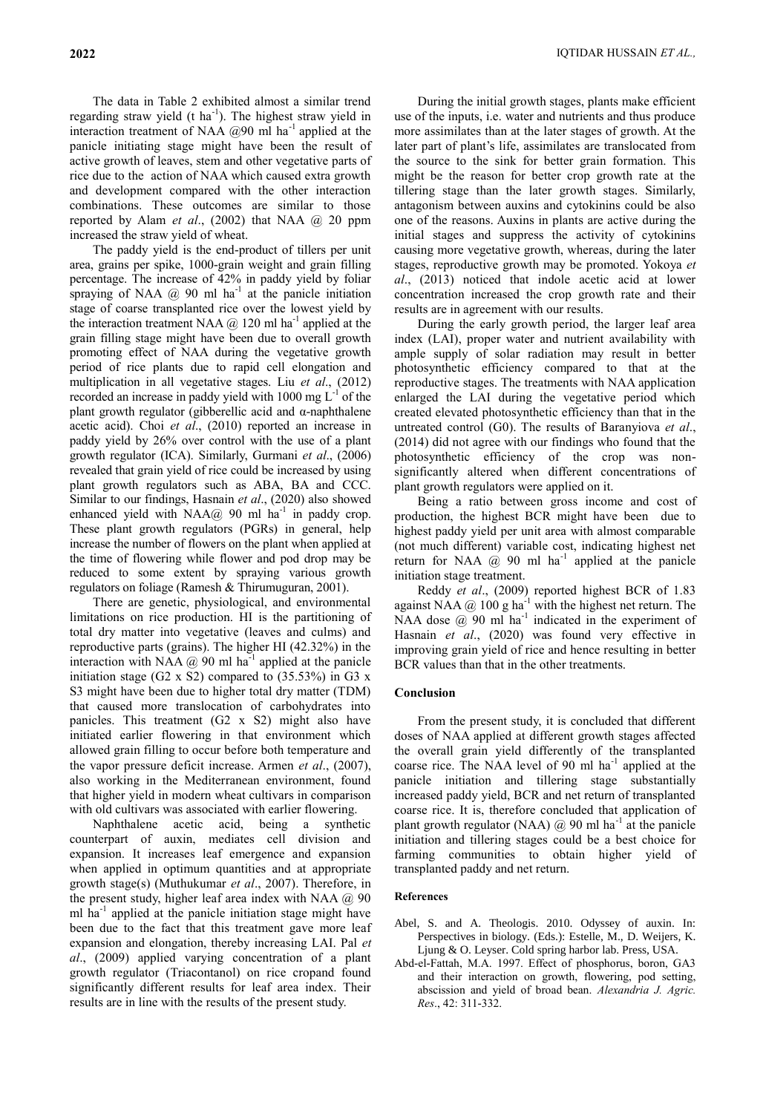The data in Table 2 exhibited almost a similar trend regarding straw yield (t ha<sup>-1</sup>). The highest straw yield in interaction treatment of NAA  $@90$  ml ha<sup>-1</sup> applied at the panicle initiating stage might have been the result of active growth of leaves, stem and other vegetative parts of rice due to the action of NAA which caused extra growth and development compared with the other interaction combinations. These outcomes are similar to those reported by Alam *et al*., (2002) that NAA @ 20 ppm increased the straw yield of wheat.

The paddy yield is the end-product of tillers per unit area, grains per spike, 1000-grain weight and grain filling percentage. The increase of 42% in paddy yield by foliar spraying of NAA  $(2)$  90 ml ha<sup>-1</sup> at the panicle initiation stage of coarse transplanted rice over the lowest yield by the interaction treatment NAA  $@$  120 ml ha<sup>-1</sup> applied at the grain filling stage might have been due to overall growth promoting effect of NAA during the vegetative growth period of rice plants due to rapid cell elongation and multiplication in all vegetative stages. Liu *et al*., (2012) recorded an increase in paddy yield with  $1000 \text{ mg } L^{-1}$  of the plant growth regulator (gibberellic acid and α-naphthalene acetic acid). Choi *et al*., (2010) reported an increase in paddy yield by 26% over control with the use of a plant growth regulator (ICA). Similarly, Gurmani *et al*., (2006) revealed that grain yield of rice could be increased by using plant growth regulators such as ABA, BA and CCC. Similar to our findings, Hasnain *et al*., (2020) also showed enhanced yield with  $NAA@90$  ml ha<sup>-1</sup> in paddy crop. These plant growth regulators (PGRs) in general, help increase the number of flowers on the plant when applied at the time of flowering while flower and pod drop may be reduced to some extent by spraying various growth regulators on foliage (Ramesh & Thirumuguran, 2001).

There are genetic, physiological, and environmental limitations on rice production. HI is the partitioning of total dry matter into vegetative (leaves and culms) and reproductive parts (grains). The higher HI (42.32%) in the interaction with NAA  $@$  90 ml ha<sup>-1</sup> applied at the panicle initiation stage (G2 x S2) compared to  $(35.53\%)$  in G3 x S3 might have been due to higher total dry matter (TDM) that caused more translocation of carbohydrates into panicles. This treatment (G2 x S2) might also have initiated earlier flowering in that environment which allowed grain filling to occur before both temperature and the vapor pressure deficit increase. Armen *et al*., (2007), also working in the Mediterranean environment, found that higher yield in modern wheat cultivars in comparison with old cultivars was associated with earlier flowering.

Naphthalene acetic acid, being a synthetic counterpart of auxin, mediates cell division and expansion. It increases leaf emergence and expansion when applied in optimum quantities and at appropriate growth stage(s) (Muthukumar *et al*., 2007). Therefore, in the present study, higher leaf area index with NAA  $\omega$  90 ml ha-1 applied at the panicle initiation stage might have been due to the fact that this treatment gave more leaf expansion and elongation, thereby increasing LAI. Pal *et al*., (2009) applied varying concentration of a plant growth regulator (Triacontanol) on rice cropand found significantly different results for leaf area index. Their results are in line with the results of the present study.

During the initial growth stages, plants make efficient use of the inputs, i.e. water and nutrients and thus produce more assimilates than at the later stages of growth. At the later part of plant's life, assimilates are translocated from the source to the sink for better grain formation. This might be the reason for better crop growth rate at the tillering stage than the later growth stages. Similarly, antagonism between auxins and cytokinins could be also one of the reasons. Auxins in plants are active during the initial stages and suppress the activity of cytokinins causing more vegetative growth, whereas, during the later stages, reproductive growth may be promoted. Yokoya *et al*., (2013) noticed that indole acetic acid at lower concentration increased the crop growth rate and their results are in agreement with our results.

During the early growth period, the larger leaf area index (LAI), proper water and nutrient availability with ample supply of solar radiation may result in better photosynthetic efficiency compared to that at the reproductive stages. The treatments with NAA application enlarged the LAI during the vegetative period which created elevated photosynthetic efficiency than that in the untreated control (G0). The results of Baranyiova *et al*., (2014) did not agree with our findings who found that the photosynthetic efficiency of the crop was nonsignificantly altered when different concentrations of plant growth regulators were applied on it.

Being a ratio between gross income and cost of production, the highest BCR might have been due to highest paddy yield per unit area with almost comparable (not much different) variable cost, indicating highest net return for NAA  $\omega$  90 ml ha<sup>-1</sup> applied at the panicle initiation stage treatment.

Reddy *et al*., (2009) reported highest BCR of 1.83 against NAA  $\omega$  100 g ha<sup>-1</sup> with the highest net return. The NAA dose  $\omega$  90 ml ha<sup>-1</sup> indicated in the experiment of Hasnain *et al*., (2020) was found very effective in improving grain yield of rice and hence resulting in better BCR values than that in the other treatments.

### **Conclusion**

From the present study, it is concluded that different doses of NAA applied at different growth stages affected the overall grain yield differently of the transplanted coarse rice. The NAA level of  $90 \text{ ml} \text{ ha}^{-1}$  applied at the panicle initiation and tillering stage substantially increased paddy yield, BCR and net return of transplanted coarse rice. It is, therefore concluded that application of plant growth regulator (NAA)  $\omega$  90 ml ha<sup>-1</sup> at the panicle initiation and tillering stages could be a best choice for farming communities to obtain higher yield of transplanted paddy and net return.

#### **References**

- Abel, S. and A. Theologis. 2010. Odyssey of auxin. In: Perspectives in biology. (Eds.): Estelle, M., D. Weijers, K. Ljung & O. Leyser. Cold spring harbor lab. Press, USA.
- Abd-el-Fattah, M.A. 1997. Effect of phosphorus, boron, GA3 and their interaction on growth, flowering, pod setting, abscission and yield of broad bean. *Alexandria J. Agric. Res*., 42: 311-332.